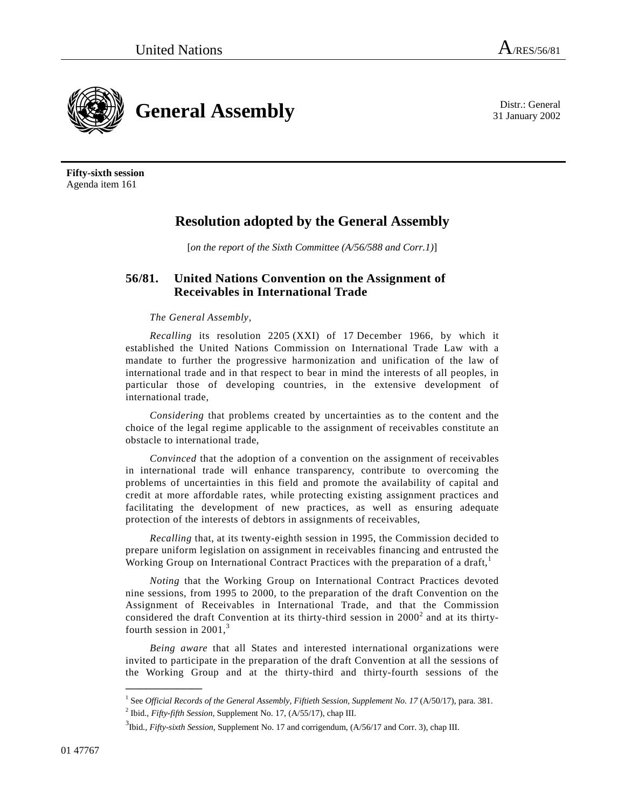

31 January 2002

**Fifty-sixth session**  Agenda item 161

# **Resolution adopted by the General Assembly**

[*on the report of the Sixth Committee (A/56/588 and Corr.1)*]

# **56/81. United Nations Convention on the Assignment of Receivables in International Trade**

# *The General Assembly*,

*Recalling* its resolution 2205 (XXI) of 17 December 1966, by which it established the United Nations Commission on International Trade Law with a mandate to further the progressive harmonization and unification of the law of international trade and in that respect to bear in mind the interests of all peoples, in particular those of developing countries, in the extensive development of international trade,

*Considering* that problems created by uncertainties as to the content and the choice of the legal regime applicable to the assignment of receivables constitute an obstacle to international trade,

*Convinced* that the adoption of a convention on the assignment of receivables in international trade will enhance transparency, contribute to overcoming the problems of uncertainties in this field and promote the availability of capital and credit at more affordable rates, while protecting existing assignment practices and facilitating the development of new practices, as well as ensuring adequate protection of the interests of debtors in assignments of receivables,

*Recalling* that, at its twenty-eighth session in 1995, the Commission decided to prepare uniform legislation on assignment in receivables financing and entrusted the Working Group on International Contract Practices with the preparation of a draft, $<sup>1</sup>$ </sup>

*Noting* that the Working Group on International Contract Practices devoted nine sessions, from 1995 to 2000, to the preparation of the draft Convention on the Assignment of Receivables in International Trade, and that the Commission considered the draft Convention at its thirty-third session in  $2000<sup>2</sup>$  and at its thirtyfourth session in  $2001$ ,<sup>3</sup>

*Being aware* that all States and interested international organizations were invited to participate in the preparation of the draft Convention at all the sessions of the Working Group and at the thirty-third and thirty-fourth sessions of the

**\_\_\_\_\_\_\_\_\_\_\_\_\_\_\_** 

<sup>&</sup>lt;sup>1</sup> See *Official Records of the General Assembly, Fiftieth Session, Supplement No. 17 (A/50/17), para. 381. <sup>2</sup> Ibid. Fifty fifth Session, Supplement No. 17 (A/50/17), para. 381.* 

<sup>&</sup>lt;sup>2</sup> Ibid., *Fifty-fifth Session*, Supplement No. 17,  $(A/55/17)$ , chap III.

<sup>3</sup> Ibid., *Fifty-sixth Session,* Supplement No. 17 and corrigendum, (A/56/17 and Corr. 3), chap III.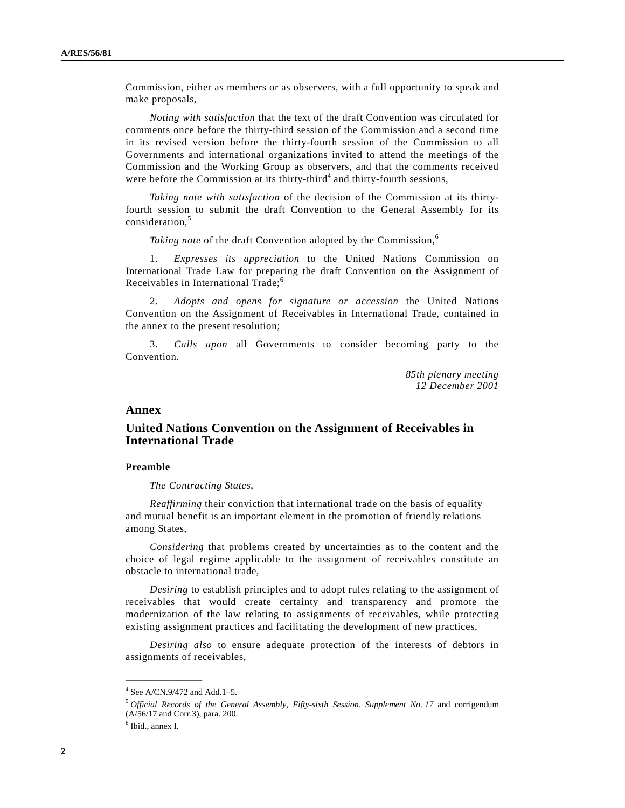Commission, either as members or as observers, with a full opportunity to speak and make proposals,

*Noting with satisfaction* that the text of the draft Convention was circulated for comments once before the thirty-third session of the Commission and a second time in its revised version before the thirty-fourth session of the Commission to all Governments and international organizations invited to attend the meetings of the Commission and the Working Group as observers, and that the comments received were before the Commission at its thirty-third<sup>4</sup> and thirty-fourth sessions,

*Taking note with satisfaction* of the decision of the Commission at its thirtyfourth session to submit the draft Convention to the General Assembly for its consideration<sup>5</sup>

*Taking note* of the draft Convention adopted by the Commission,<sup>6</sup>

 1. *Expresses its appreciation* to the United Nations Commission on International Trade Law for preparing the draft Convention on the Assignment of Receivables in International Trade;<sup>6</sup>

 2. *Adopts and opens for signature or accession* the United Nations Convention on the Assignment of Receivables in International Trade, contained in the annex to the present resolution;

 3. *Calls upon* all Governments to consider becoming party to the Convention.

> *85th plenary meeting 12 December 2001*

# **Annex**

# **United Nations Convention on the Assignment of Receivables in International Trade**

### **Preamble**

*The Contracting States*,

*Reaffirming* their conviction that international trade on the basis of equality and mutual benefit is an important element in the promotion of friendly relations among States,

*Considering* that problems created by uncertainties as to the content and the choice of legal regime applicable to the assignment of receivables constitute an obstacle to international trade,

*Desiring* to establish principles and to adopt rules relating to the assignment of receivables that would create certainty and transparency and promote the modernization of the law relating to assignments of receivables, while protecting existing assignment practices and facilitating the development of new practices,

*Desiring also* to ensure adequate protection of the interests of debtors in assignments of receivables,

**\_\_\_\_\_\_\_\_\_\_\_\_\_\_\_** 

 $4$  See A/CN.9/472 and Add.1-5.

<sup>5</sup> *Official Records of the General Assembly, Fifty-sixth Session, Supplement No. 17* and corrigendum (A/56/17 and Corr.3), para. 200.

<sup>6</sup> Ibid., annex I.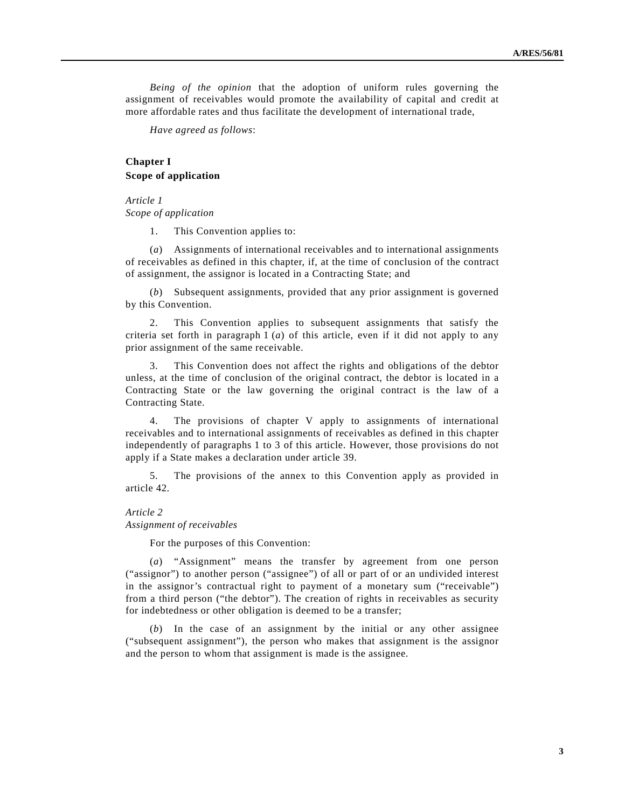*Being of the opinion* that the adoption of uniform rules governing the assignment of receivables would promote the availability of capital and credit at more affordable rates and thus facilitate the development of international trade,

*Have agreed as follows*:

# **Chapter I Scope of application**

*Article 1 Scope of application* 

1. This Convention applies to:

 (*a*) Assignments of international receivables and to international assignments of receivables as defined in this chapter, if, at the time of conclusion of the contract of assignment, the assignor is located in a Contracting State; and

 (*b*) Subsequent assignments, provided that any prior assignment is governed by this Convention.

 2. This Convention applies to subsequent assignments that satisfy the criteria set forth in paragraph 1 (*a*) of this article, even if it did not apply to any prior assignment of the same receivable.

 3. This Convention does not affect the rights and obligations of the debtor unless, at the time of conclusion of the original contract, the debtor is located in a Contracting State or the law governing the original contract is the law of a Contracting State.

 4. The provisions of chapter V apply to assignments of international receivables and to international assignments of receivables as defined in this chapter independently of paragraphs 1 to 3 of this article. However, those provisions do not apply if a State makes a declaration under article 39.

 5. The provisions of the annex to this Convention apply as provided in article 42.

#### *Article 2*

*Assignment of receivables* 

For the purposes of this Convention:

 (*a*) "Assignment" means the transfer by agreement from one person ("assignor") to another person ("assignee") of all or part of or an undivided interest in the assignor's contractual right to payment of a monetary sum ("receivable") from a third person ("the debtor"). The creation of rights in receivables as security for indebtedness or other obligation is deemed to be a transfer;

 (*b*) In the case of an assignment by the initial or any other assignee ("subsequent assignment"), the person who makes that assignment is the assignor and the person to whom that assignment is made is the assignee.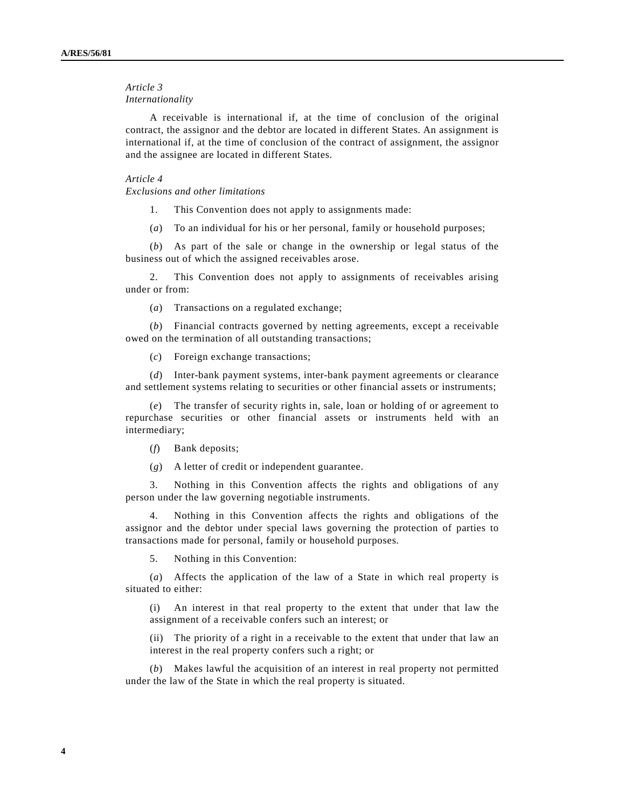# *Article 3*

*Internationality* 

 A receivable is international if, at the time of conclusion of the original contract, the assignor and the debtor are located in different States. An assignment is international if, at the time of conclusion of the contract of assignment, the assignor and the assignee are located in different States.

## *Article 4*

*Exclusions and other limitations* 

1. This Convention does not apply to assignments made:

(*a*) To an individual for his or her personal, family or household purposes;

 (*b*) As part of the sale or change in the ownership or legal status of the business out of which the assigned receivables arose.

 2. This Convention does not apply to assignments of receivables arising under or from:

(*a*) Transactions on a regulated exchange;

 (*b*) Financial contracts governed by netting agreements, except a receivable owed on the termination of all outstanding transactions;

(*c*) Foreign exchange transactions;

 (*d*) Inter-bank payment systems, inter-bank payment agreements or clearance and settlement systems relating to securities or other financial assets or instruments;

 (*e*) The transfer of security rights in, sale, loan or holding of or agreement to repurchase securities or other financial assets or instruments held with an intermediary;

(*f*) Bank deposits;

(*g*) A letter of credit or independent guarantee.

 3. Nothing in this Convention affects the rights and obligations of any person under the law governing negotiable instruments.

 4. Nothing in this Convention affects the rights and obligations of the assignor and the debtor under special laws governing the protection of parties to transactions made for personal, family or household purposes.

5. Nothing in this Convention:

 (*a*) Affects the application of the law of a State in which real property is situated to either:

 (i) An interest in that real property to the extent that under that law the assignment of a receivable confers such an interest; or

 (ii) The priority of a right in a receivable to the extent that under that law an interest in the real property confers such a right; or

 (*b*) Makes lawful the acquisition of an interest in real property not permitted under the law of the State in which the real property is situated.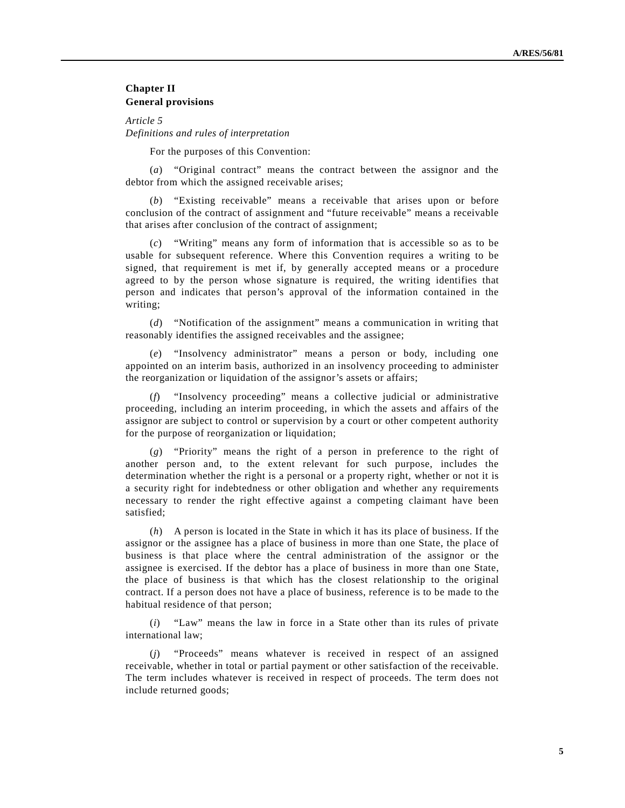# **Chapter II General provisions**

*Article 5 Definitions and rules of interpretation* 

For the purposes of this Convention:

 (*a*) "Original contract" means the contract between the assignor and the debtor from which the assigned receivable arises;

 (*b*) "Existing receivable" means a receivable that arises upon or before conclusion of the contract of assignment and "future receivable" means a receivable that arises after conclusion of the contract of assignment;

 (*c*) "Writing" means any form of information that is accessible so as to be usable for subsequent reference. Where this Convention requires a writing to be signed, that requirement is met if, by generally accepted means or a procedure agreed to by the person whose signature is required, the writing identifies that person and indicates that person's approval of the information contained in the writing;

 (*d*) "Notification of the assignment" means a communication in writing that reasonably identifies the assigned receivables and the assignee;

 (*e*) "Insolvency administrator" means a person or body, including one appointed on an interim basis, authorized in an insolvency proceeding to administer the reorganization or liquidation of the assignor's assets or affairs;

 (*f*) "Insolvency proceeding" means a collective judicial or administrative proceeding, including an interim proceeding, in which the assets and affairs of the assignor are subject to control or supervision by a court or other competent authority for the purpose of reorganization or liquidation;

 (*g*) "Priority" means the right of a person in preference to the right of another person and, to the extent relevant for such purpose, includes the determination whether the right is a personal or a property right, whether or not it is a security right for indebtedness or other obligation and whether any requirements necessary to render the right effective against a competing claimant have been satisfied;

 (*h*) A person is located in the State in which it has its place of business. If the assignor or the assignee has a place of business in more than one State, the place of business is that place where the central administration of the assignor or the assignee is exercised. If the debtor has a place of business in more than one State, the place of business is that which has the closest relationship to the original contract. If a person does not have a place of business, reference is to be made to the habitual residence of that person;

 (*i*) "Law" means the law in force in a State other than its rules of private international law;

 (*j*) "Proceeds" means whatever is received in respect of an assigned receivable, whether in total or partial payment or other satisfaction of the receivable. The term includes whatever is received in respect of proceeds. The term does not include returned goods;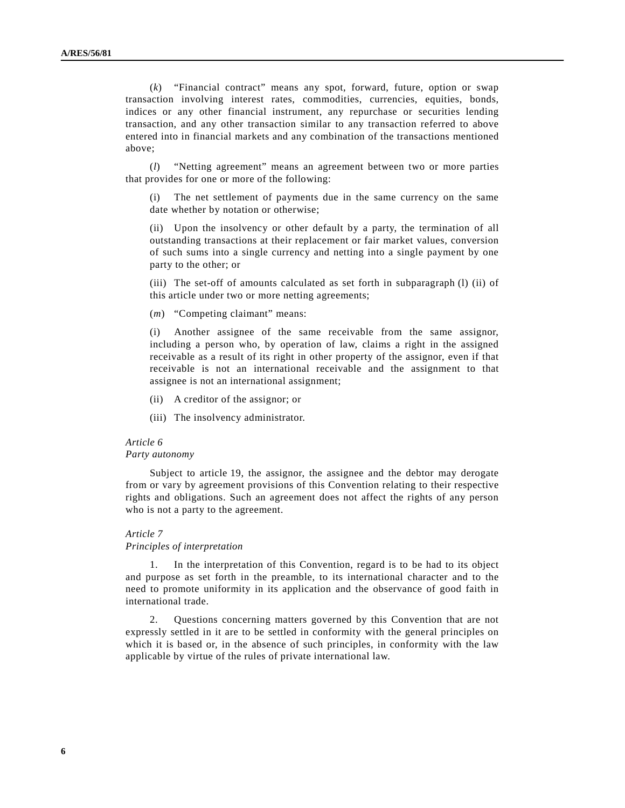(*k*) "Financial contract" means any spot, forward, future, option or swap transaction involving interest rates, commodities, currencies, equities, bonds, indices or any other financial instrument, any repurchase or securities lending transaction, and any other transaction similar to any transaction referred to above entered into in financial markets and any combination of the transactions mentioned above;

 (*l*) "Netting agreement" means an agreement between two or more parties that provides for one or more of the following:

 (i) The net settlement of payments due in the same currency on the same date whether by notation or otherwise;

 (ii) Upon the insolvency or other default by a party, the termination of all outstanding transactions at their replacement or fair market values, conversion of such sums into a single currency and netting into a single payment by one party to the other; or

 (iii) The set-off of amounts calculated as set forth in subparagraph (l) (ii) of this article under two or more netting agreements;

(*m*) "Competing claimant" means:

 (i) Another assignee of the same receivable from the same assignor, including a person who, by operation of law, claims a right in the assigned receivable as a result of its right in other property of the assignor, even if that receivable is not an international receivable and the assignment to that assignee is not an international assignment;

(ii) A creditor of the assignor; or

(iii) The insolvency administrator.

#### *Article 6*

#### *Party autonomy*

 Subject to article 19, the assignor, the assignee and the debtor may derogate from or vary by agreement provisions of this Convention relating to their respective rights and obligations. Such an agreement does not affect the rights of any person who is not a party to the agreement.

#### *Article 7*

*Principles of interpretation* 

 1. In the interpretation of this Convention, regard is to be had to its object and purpose as set forth in the preamble, to its international character and to the need to promote uniformity in its application and the observance of good faith in international trade.

Questions concerning matters governed by this Convention that are not expressly settled in it are to be settled in conformity with the general principles on which it is based or, in the absence of such principles, in conformity with the law applicable by virtue of the rules of private international law.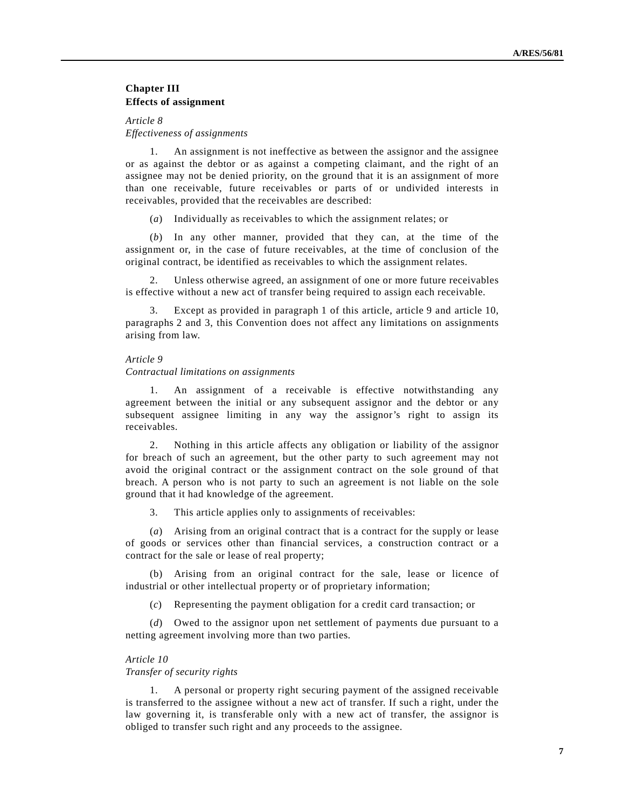# **Chapter III Effects of assignment**

#### *Article 8*

## *Effectiveness of assignments*

 1. An assignment is not ineffective as between the assignor and the assignee or as against the debtor or as against a competing claimant, and the right of an assignee may not be denied priority, on the ground that it is an assignment of more than one receivable, future receivables or parts of or undivided interests in receivables, provided that the receivables are described:

(*a*) Individually as receivables to which the assignment relates; or

 (*b*) In any other manner, provided that they can, at the time of the assignment or, in the case of future receivables, at the time of conclusion of the original contract, be identified as receivables to which the assignment relates.

Unless otherwise agreed, an assignment of one or more future receivables is effective without a new act of transfer being required to assign each receivable.

Except as provided in paragraph 1 of this article, article 9 and article 10, paragraphs 2 and 3, this Convention does not affect any limitations on assignments arising from law.

## *Article 9*

#### *Contractual limitations on assignments*

 1. An assignment of a receivable is effective notwithstanding any agreement between the initial or any subsequent assignor and the debtor or any subsequent assignee limiting in any way the assignor's right to assign its receivables.

 2. Nothing in this article affects any obligation or liability of the assignor for breach of such an agreement, but the other party to such agreement may not avoid the original contract or the assignment contract on the sole ground of that breach. A person who is not party to such an agreement is not liable on the sole ground that it had knowledge of the agreement.

3. This article applies only to assignments of receivables:

 (*a*) Arising from an original contract that is a contract for the supply or lease of goods or services other than financial services, a construction contract or a contract for the sale or lease of real property;

 (b) Arising from an original contract for the sale, lease or licence of industrial or other intellectual property or of proprietary information;

(*c*) Representing the payment obligation for a credit card transaction; or

 (*d*) Owed to the assignor upon net settlement of payments due pursuant to a netting agreement involving more than two parties.

## *Article 10*

## *Transfer of security rights*

 1. A personal or property right securing payment of the assigned receivable is transferred to the assignee without a new act of transfer. If such a right, under the law governing it, is transferable only with a new act of transfer, the assignor is obliged to transfer such right and any proceeds to the assignee.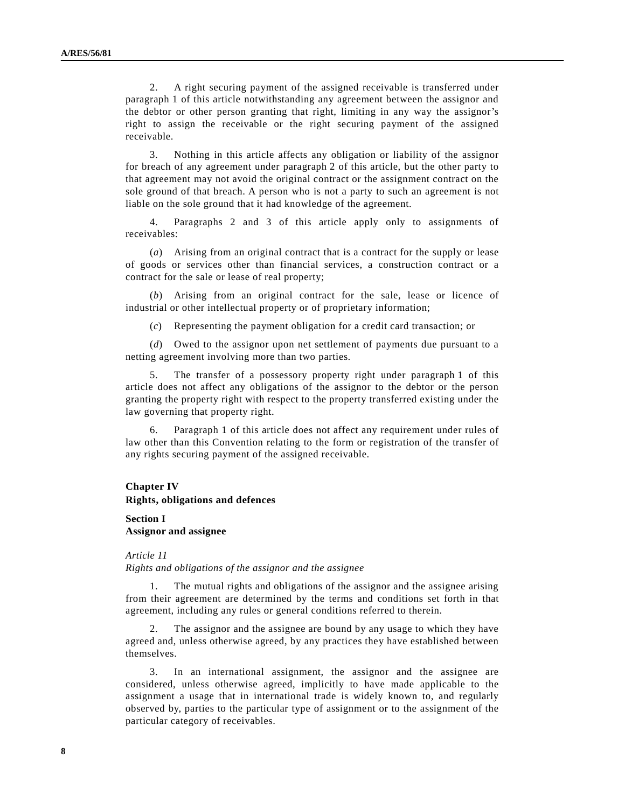2. A right securing payment of the assigned receivable is transferred under paragraph 1 of this article notwithstanding any agreement between the assignor and the debtor or other person granting that right, limiting in any way the assignor's right to assign the receivable or the right securing payment of the assigned receivable.

 3. Nothing in this article affects any obligation or liability of the assignor for breach of any agreement under paragraph 2 of this article, but the other party to that agreement may not avoid the original contract or the assignment contract on the sole ground of that breach. A person who is not a party to such an agreement is not liable on the sole ground that it had knowledge of the agreement.

 4. Paragraphs 2 and 3 of this article apply only to assignments of receivables:

 (*a*) Arising from an original contract that is a contract for the supply or lease of goods or services other than financial services, a construction contract or a contract for the sale or lease of real property;

 (*b*) Arising from an original contract for the sale, lease or licence of industrial or other intellectual property or of proprietary information;

(*c*) Representing the payment obligation for a credit card transaction; or

 (*d*) Owed to the assignor upon net settlement of payments due pursuant to a netting agreement involving more than two parties.

The transfer of a possessory property right under paragraph 1 of this article does not affect any obligations of the assignor to the debtor or the person granting the property right with respect to the property transferred existing under the law governing that property right.

 6. Paragraph 1 of this article does not affect any requirement under rules of law other than this Convention relating to the form or registration of the transfer of any rights securing payment of the assigned receivable.

#### **Chapter IV**

## **Rights, obligations and defences**

 **Section I Assignor and assignee** 

#### *Article 11*

*Rights and obligations of the assignor and the assignee* 

 1. The mutual rights and obligations of the assignor and the assignee arising from their agreement are determined by the terms and conditions set forth in that agreement, including any rules or general conditions referred to therein.

 2. The assignor and the assignee are bound by any usage to which they have agreed and, unless otherwise agreed, by any practices they have established between themselves.

 3. In an international assignment, the assignor and the assignee are considered, unless otherwise agreed, implicitly to have made applicable to the assignment a usage that in international trade is widely known to, and regularly observed by, parties to the particular type of assignment or to the assignment of the particular category of receivables.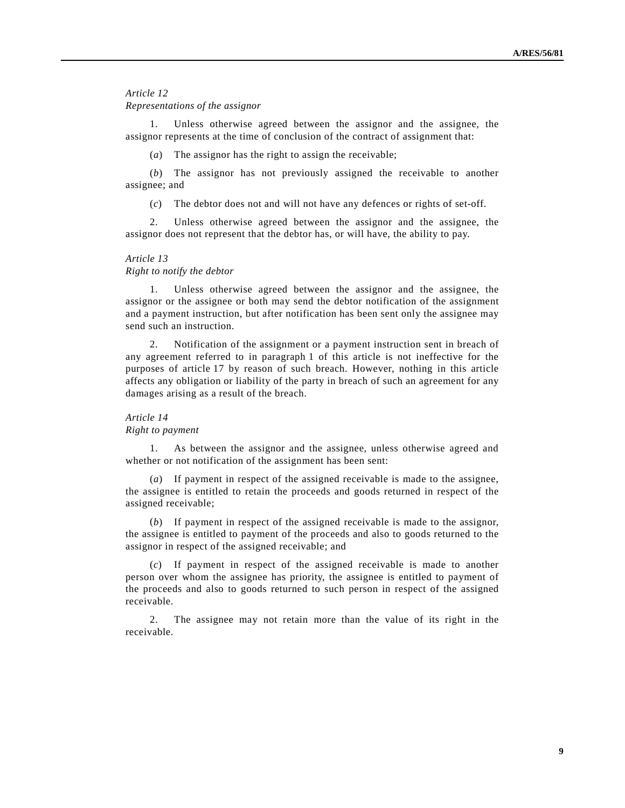# *Article 12 Representations of the assignor*

Unless otherwise agreed between the assignor and the assignee, the assignor represents at the time of conclusion of the contract of assignment that:

(*a*) The assignor has the right to assign the receivable;

 (*b*) The assignor has not previously assigned the receivable to another assignee; and

(*c*) The debtor does not and will not have any defences or rights of set-off.

 2. Unless otherwise agreed between the assignor and the assignee, the assignor does not represent that the debtor has, or will have, the ability to pay.

## *Article 13*

*Right to notify the debtor* 

Unless otherwise agreed between the assignor and the assignee, the assignor or the assignee or both may send the debtor notification of the assignment and a payment instruction, but after notification has been sent only the assignee may send such an instruction.

 2. Notification of the assignment or a payment instruction sent in breach of any agreement referred to in paragraph 1 of this article is not ineffective for the purposes of article 17 by reason of such breach. However, nothing in this article affects any obligation or liability of the party in breach of such an agreement for any damages arising as a result of the breach.

## *Article 14 Right to payment*

 1. As between the assignor and the assignee, unless otherwise agreed and whether or not notification of the assignment has been sent:

 (*a*) If payment in respect of the assigned receivable is made to the assignee, the assignee is entitled to retain the proceeds and goods returned in respect of the assigned receivable;

 (*b*) If payment in respect of the assigned receivable is made to the assignor, the assignee is entitled to payment of the proceeds and also to goods returned to the assignor in respect of the assigned receivable; and

 (*c*) If payment in respect of the assigned receivable is made to another person over whom the assignee has priority, the assignee is entitled to payment of the proceeds and also to goods returned to such person in respect of the assigned receivable.

 2. The assignee may not retain more than the value of its right in the receivable.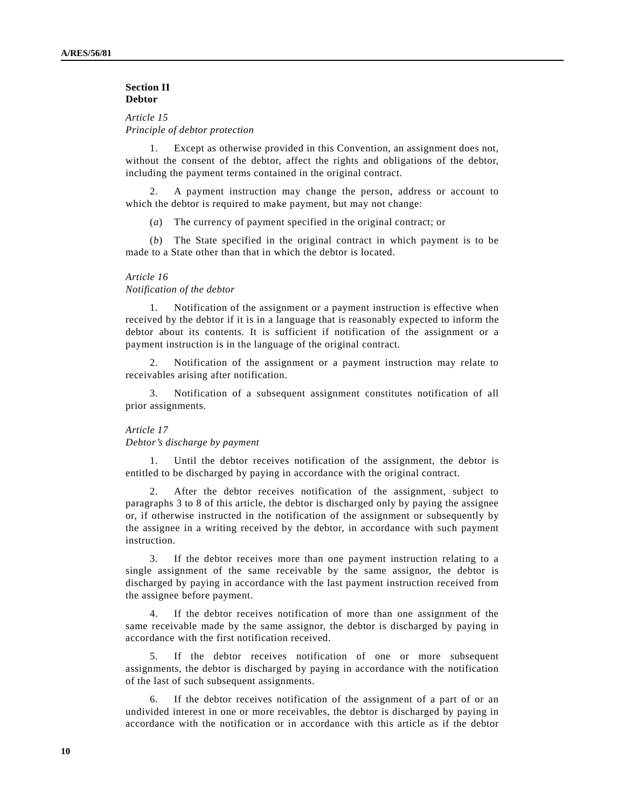## **Section II Debtor**

*Article 15 Principle of debtor protection* 

Except as otherwise provided in this Convention, an assignment does not, without the consent of the debtor, affect the rights and obligations of the debtor, including the payment terms contained in the original contract.

 2. A payment instruction may change the person, address or account to which the debtor is required to make payment, but may not change:

(*a*) The currency of payment specified in the original contract; or

 (*b*) The State specified in the original contract in which payment is to be made to a State other than that in which the debtor is located.

### *Article 16*

*Notification of the debtor* 

 1. Notification of the assignment or a payment instruction is effective when received by the debtor if it is in a language that is reasonably expected to inform the debtor about its contents. It is sufficient if notification of the assignment or a payment instruction is in the language of the original contract.

 2. Notification of the assignment or a payment instruction may relate to receivables arising after notification.

 3. Notification of a subsequent assignment constitutes notification of all prior assignments.

## *Article 17*

#### *Debtor's discharge by payment*

Until the debtor receives notification of the assignment, the debtor is entitled to be discharged by paying in accordance with the original contract.

After the debtor receives notification of the assignment, subject to paragraphs 3 to 8 of this article, the debtor is discharged only by paying the assignee or, if otherwise instructed in the notification of the assignment or subsequently by the assignee in a writing received by the debtor, in accordance with such payment instruction.

 3. If the debtor receives more than one payment instruction relating to a single assignment of the same receivable by the same assignor, the debtor is discharged by paying in accordance with the last payment instruction received from the assignee before payment.

 4. If the debtor receives notification of more than one assignment of the same receivable made by the same assignor, the debtor is discharged by paying in accordance with the first notification received.

 5. If the debtor receives notification of one or more subsequent assignments, the debtor is discharged by paying in accordance with the notification of the last of such subsequent assignments.

 6. If the debtor receives notification of the assignment of a part of or an undivided interest in one or more receivables, the debtor is discharged by paying in accordance with the notification or in accordance with this article as if the debtor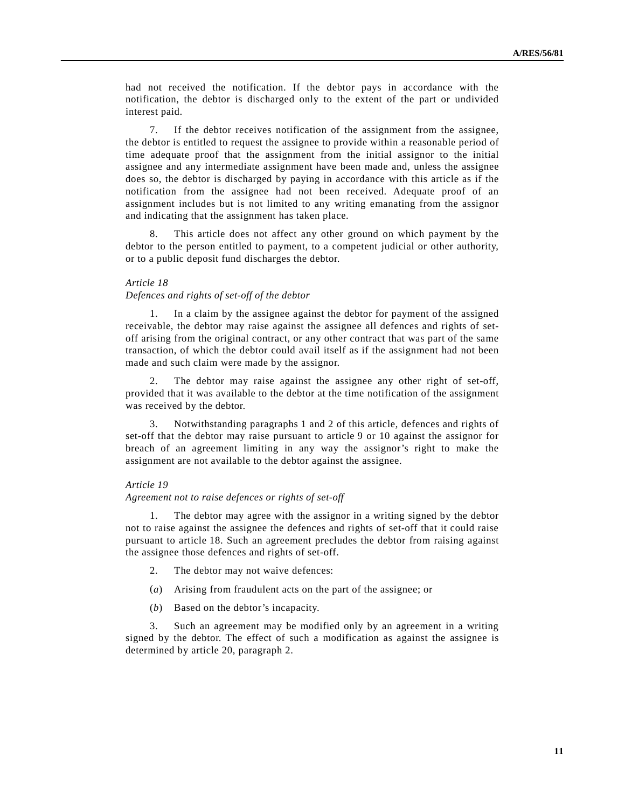had not received the notification. If the debtor pays in accordance with the notification, the debtor is discharged only to the extent of the part or undivided interest paid.

 7. If the debtor receives notification of the assignment from the assignee, the debtor is entitled to request the assignee to provide within a reasonable period of time adequate proof that the assignment from the initial assignor to the initial assignee and any intermediate assignment have been made and, unless the assignee does so, the debtor is discharged by paying in accordance with this article as if the notification from the assignee had not been received. Adequate proof of an assignment includes but is not limited to any writing emanating from the assignor and indicating that the assignment has taken place.

 8. This article does not affect any other ground on which payment by the debtor to the person entitled to payment, to a competent judicial or other authority, or to a public deposit fund discharges the debtor.

#### *Article 18*

# *Defences and rights of set-off of the debtor*

 1. In a claim by the assignee against the debtor for payment of the assigned receivable, the debtor may raise against the assignee all defences and rights of setoff arising from the original contract, or any other contract that was part of the same transaction, of which the debtor could avail itself as if the assignment had not been made and such claim were made by the assignor.

 2. The debtor may raise against the assignee any other right of set-off, provided that it was available to the debtor at the time notification of the assignment was received by the debtor.

 3. Notwithstanding paragraphs 1 and 2 of this article, defences and rights of set-off that the debtor may raise pursuant to article 9 or 10 against the assignor for breach of an agreement limiting in any way the assignor's right to make the assignment are not available to the debtor against the assignee.

#### *Article 19*

#### *Agreement not to raise defences or rights of set-off*

 1. The debtor may agree with the assignor in a writing signed by the debtor not to raise against the assignee the defences and rights of set-off that it could raise pursuant to article 18. Such an agreement precludes the debtor from raising against the assignee those defences and rights of set-off.

- 2. The debtor may not waive defences:
- (*a*) Arising from fraudulent acts on the part of the assignee; or
- (*b*) Based on the debtor's incapacity.

 3. Such an agreement may be modified only by an agreement in a writing signed by the debtor. The effect of such a modification as against the assignee is determined by article 20, paragraph 2.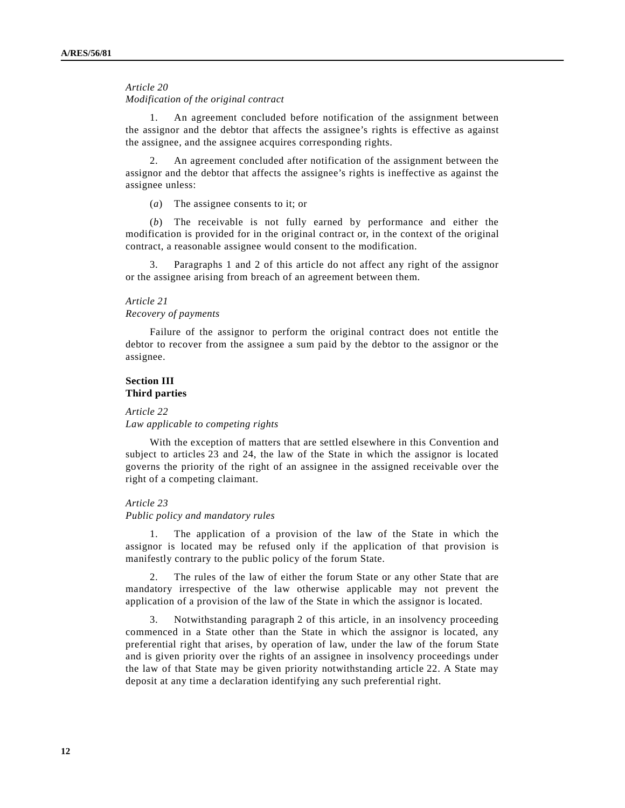#### *Article 20 Modification of the original contract*

An agreement concluded before notification of the assignment between the assignor and the debtor that affects the assignee's rights is effective as against the assignee, and the assignee acquires corresponding rights.

 2. An agreement concluded after notification of the assignment between the assignor and the debtor that affects the assignee's rights is ineffective as against the assignee unless:

(*a*) The assignee consents to it; or

 (*b*) The receivable is not fully earned by performance and either the modification is provided for in the original contract or, in the context of the original contract, a reasonable assignee would consent to the modification.

 3. Paragraphs 1 and 2 of this article do not affect any right of the assignor or the assignee arising from breach of an agreement between them.

#### *Article 21*

#### *Recovery of payments*

 Failure of the assignor to perform the original contract does not entitle the debtor to recover from the assignee a sum paid by the debtor to the assignor or the assignee.

## **Section III Third parties**

# *Article 22 Law applicable to competing rights*

 With the exception of matters that are settled elsewhere in this Convention and subject to articles 23 and 24, the law of the State in which the assignor is located governs the priority of the right of an assignee in the assigned receivable over the right of a competing claimant.

#### *Article 23*

#### *Public policy and mandatory rules*

 1. The application of a provision of the law of the State in which the assignor is located may be refused only if the application of that provision is manifestly contrary to the public policy of the forum State.

 2. The rules of the law of either the forum State or any other State that are mandatory irrespective of the law otherwise applicable may not prevent the application of a provision of the law of the State in which the assignor is located.

 3. Notwithstanding paragraph 2 of this article, in an insolvency proceeding commenced in a State other than the State in which the assignor is located, any preferential right that arises, by operation of law, under the law of the forum State and is given priority over the rights of an assignee in insolvency proceedings under the law of that State may be given priority notwithstanding article 22. A State may deposit at any time a declaration identifying any such preferential right.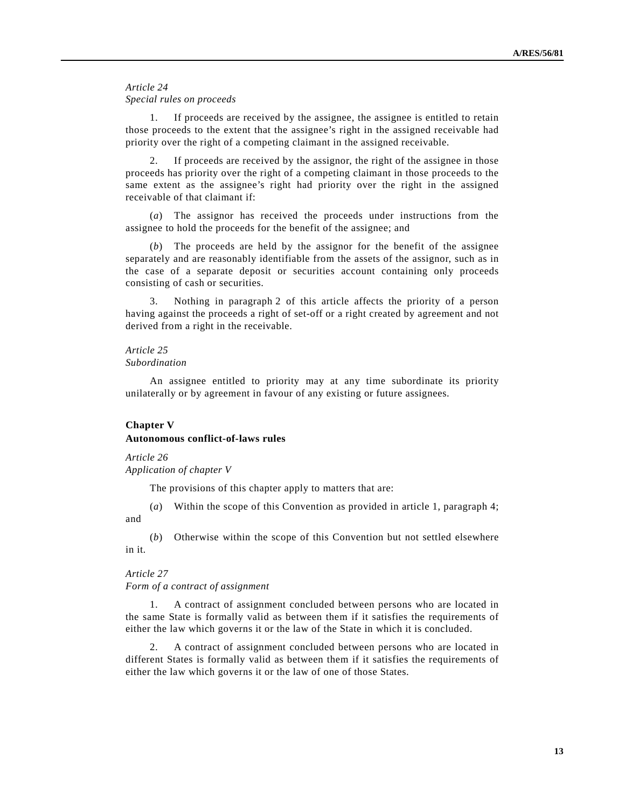## *Article 24 Special rules on proceeds*

 1. If proceeds are received by the assignee, the assignee is entitled to retain those proceeds to the extent that the assignee's right in the assigned receivable had priority over the right of a competing claimant in the assigned receivable.

 2. If proceeds are received by the assignor, the right of the assignee in those proceeds has priority over the right of a competing claimant in those proceeds to the same extent as the assignee's right had priority over the right in the assigned receivable of that claimant if:

 (*a*) The assignor has received the proceeds under instructions from the assignee to hold the proceeds for the benefit of the assignee; and

 (*b*) The proceeds are held by the assignor for the benefit of the assignee separately and are reasonably identifiable from the assets of the assignor, such as in the case of a separate deposit or securities account containing only proceeds consisting of cash or securities.

 3. Nothing in paragraph 2 of this article affects the priority of a person having against the proceeds a right of set-off or a right created by agreement and not derived from a right in the receivable.

# *Article 25*

# *Subordination*

 An assignee entitled to priority may at any time subordinate its priority unilaterally or by agreement in favour of any existing or future assignees.

#### **Chapter V**

#### **Autonomous conflict-of-laws rules**

*Article 26 Application of chapter V* 

The provisions of this chapter apply to matters that are:

 (*a*) Within the scope of this Convention as provided in article 1, paragraph 4; and

 (*b*) Otherwise within the scope of this Convention but not settled elsewhere in it.

#### *Article 27*

*Form of a contract of assignment* 

 1. A contract of assignment concluded between persons who are located in the same State is formally valid as between them if it satisfies the requirements of either the law which governs it or the law of the State in which it is concluded.

 2. A contract of assignment concluded between persons who are located in different States is formally valid as between them if it satisfies the requirements of either the law which governs it or the law of one of those States.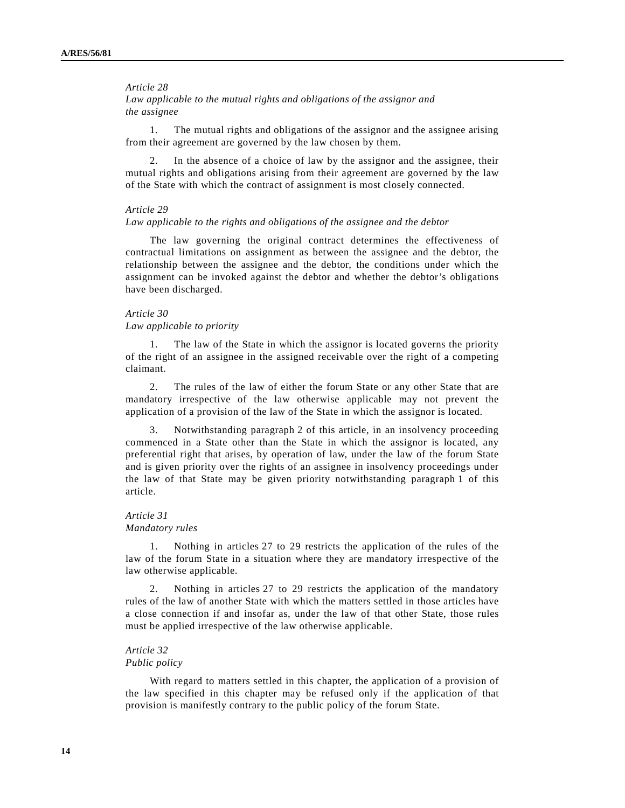#### *Article 28*

## *Law applicable to the mutual rights and obligations of the assignor and the assignee*

 1. The mutual rights and obligations of the assignor and the assignee arising from their agreement are governed by the law chosen by them.

 2. In the absence of a choice of law by the assignor and the assignee, their mutual rights and obligations arising from their agreement are governed by the law of the State with which the contract of assignment is most closely connected.

#### *Article 29*

#### *Law applicable to the rights and obligations of the assignee and the debtor*

 The law governing the original contract determines the effectiveness of contractual limitations on assignment as between the assignee and the debtor, the relationship between the assignee and the debtor, the conditions under which the assignment can be invoked against the debtor and whether the debtor's obligations have been discharged.

## *Article 30*

#### *Law applicable to priority*

 1. The law of the State in which the assignor is located governs the priority of the right of an assignee in the assigned receivable over the right of a competing claimant.

 2. The rules of the law of either the forum State or any other State that are mandatory irrespective of the law otherwise applicable may not prevent the application of a provision of the law of the State in which the assignor is located.

 3. Notwithstanding paragraph 2 of this article, in an insolvency proceeding commenced in a State other than the State in which the assignor is located, any preferential right that arises, by operation of law, under the law of the forum State and is given priority over the rights of an assignee in insolvency proceedings under the law of that State may be given priority notwithstanding paragraph 1 of this article.

## *Article 31*

#### *Mandatory rules*

 1. Nothing in articles 27 to 29 restricts the application of the rules of the law of the forum State in a situation where they are mandatory irrespective of the law otherwise applicable.

 2. Nothing in articles 27 to 29 restricts the application of the mandatory rules of the law of another State with which the matters settled in those articles have a close connection if and insofar as, under the law of that other State, those rules must be applied irrespective of the law otherwise applicable.

## *Article 32 Public policy*

# With regard to matters settled in this chapter, the application of a provision of the law specified in this chapter may be refused only if the application of that provision is manifestly contrary to the public policy of the forum State.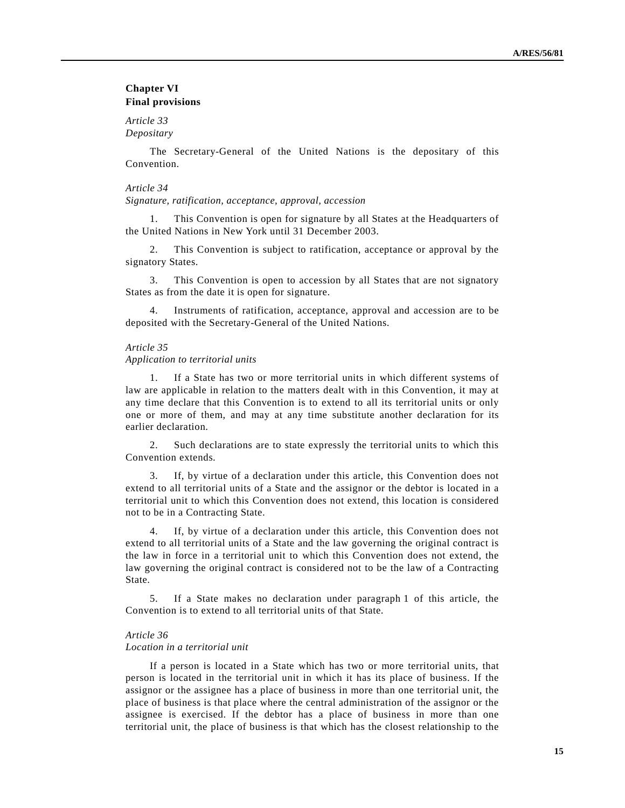# **Chapter VI Final provisions**

*Article 33 Depositary* 

 The Secretary-General of the United Nations is the depositary of this Convention.

## *Article 34*

*Signature, ratification, acceptance, approval, accession* 

 1. This Convention is open for signature by all States at the Headquarters of the United Nations in New York until 31 December 2003.

 2. This Convention is subject to ratification, acceptance or approval by the signatory States.

 3. This Convention is open to accession by all States that are not signatory States as from the date it is open for signature.

Instruments of ratification, acceptance, approval and accession are to be deposited with the Secretary-General of the United Nations.

### *Article 35*

# *Application to territorial units*

If a State has two or more territorial units in which different systems of law are applicable in relation to the matters dealt with in this Convention, it may at any time declare that this Convention is to extend to all its territorial units or only one or more of them, and may at any time substitute another declaration for its earlier declaration.

 2. Such declarations are to state expressly the territorial units to which this Convention extends.

 3. If, by virtue of a declaration under this article, this Convention does not extend to all territorial units of a State and the assignor or the debtor is located in a territorial unit to which this Convention does not extend, this location is considered not to be in a Contracting State.

 4. If, by virtue of a declaration under this article, this Convention does not extend to all territorial units of a State and the law governing the original contract is the law in force in a territorial unit to which this Convention does not extend, the law governing the original contract is considered not to be the law of a Contracting State.

 5. If a State makes no declaration under paragraph 1 of this article, the Convention is to extend to all territorial units of that State.

## *Article 36*

## *Location in a territorial unit*

 If a person is located in a State which has two or more territorial units, that person is located in the territorial unit in which it has its place of business. If the assignor or the assignee has a place of business in more than one territorial unit, the place of business is that place where the central administration of the assignor or the assignee is exercised. If the debtor has a place of business in more than one territorial unit, the place of business is that which has the closest relationship to the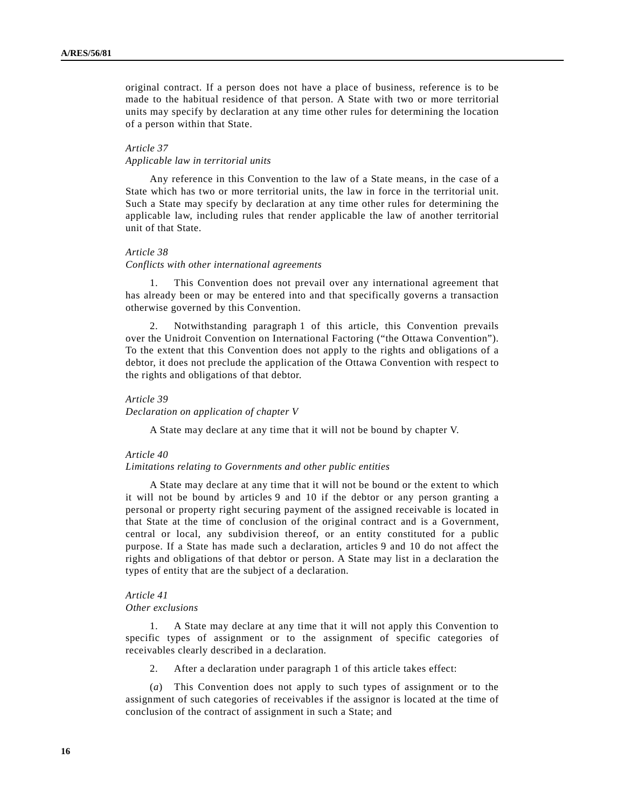original contract. If a person does not have a place of business, reference is to be made to the habitual residence of that person. A State with two or more territorial units may specify by declaration at any time other rules for determining the location of a person within that State.

#### *Article 37*

#### *Applicable law in territorial units*

 Any reference in this Convention to the law of a State means, in the case of a State which has two or more territorial units, the law in force in the territorial unit. Such a State may specify by declaration at any time other rules for determining the applicable law, including rules that render applicable the law of another territorial unit of that State.

### *Article 38*

#### *Conflicts with other international agreements*

 1. This Convention does not prevail over any international agreement that has already been or may be entered into and that specifically governs a transaction otherwise governed by this Convention.

 2. Notwithstanding paragraph 1 of this article, this Convention prevails over the Unidroit Convention on International Factoring ("the Ottawa Convention"). To the extent that this Convention does not apply to the rights and obligations of a debtor, it does not preclude the application of the Ottawa Convention with respect to the rights and obligations of that debtor.

#### *Article 39*

#### *Declaration on application of chapter V*

A State may declare at any time that it will not be bound by chapter V.

#### *Article 40*

#### *Limitations relating to Governments and other public entities*

 A State may declare at any time that it will not be bound or the extent to which it will not be bound by articles 9 and 10 if the debtor or any person granting a personal or property right securing payment of the assigned receivable is located in that State at the time of conclusion of the original contract and is a Government, central or local, any subdivision thereof, or an entity constituted for a public purpose. If a State has made such a declaration, articles 9 and 10 do not affect the rights and obligations of that debtor or person. A State may list in a declaration the types of entity that are the subject of a declaration.

#### *Article 41*

## *Other exclusions*

 1. A State may declare at any time that it will not apply this Convention to specific types of assignment or to the assignment of specific categories of receivables clearly described in a declaration.

2. After a declaration under paragraph 1 of this article takes effect:

 (*a*) This Convention does not apply to such types of assignment or to the assignment of such categories of receivables if the assignor is located at the time of conclusion of the contract of assignment in such a State; and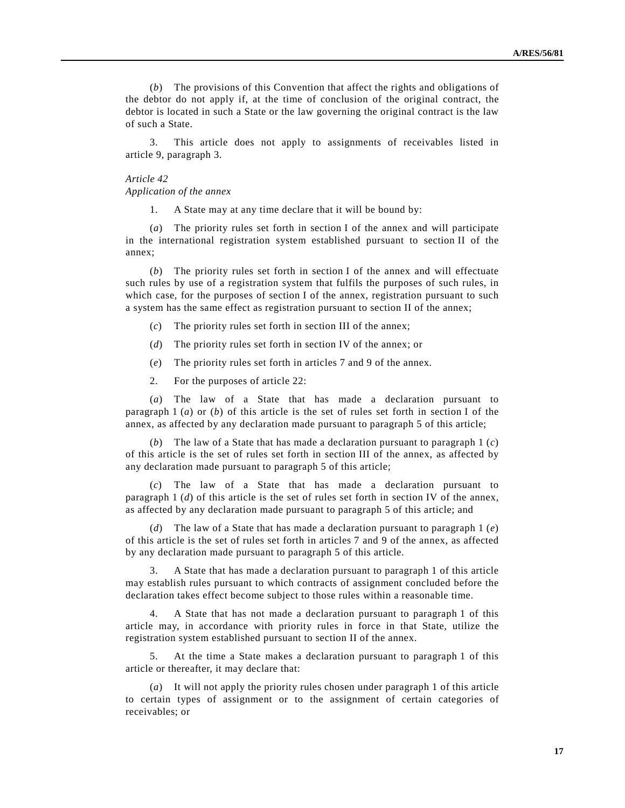(*b*) The provisions of this Convention that affect the rights and obligations of the debtor do not apply if, at the time of conclusion of the original contract, the debtor is located in such a State or the law governing the original contract is the law of such a State.

 3. This article does not apply to assignments of receivables listed in article 9, paragraph 3.

# *Article 42 Application of the annex*

1. A State may at any time declare that it will be bound by:

 (*a*) The priority rules set forth in section I of the annex and will participate in the international registration system established pursuant to section II of the annex;

 (*b*) The priority rules set forth in section I of the annex and will effectuate such rules by use of a registration system that fulfils the purposes of such rules, in which case, for the purposes of section I of the annex, registration pursuant to such a system has the same effect as registration pursuant to section II of the annex;

- (*c*) The priority rules set forth in section III of the annex;
- (*d*) The priority rules set forth in section IV of the annex; or
- (*e*) The priority rules set forth in articles 7 and 9 of the annex.
- 2. For the purposes of article 22:

 (*a*) The law of a State that has made a declaration pursuant to paragraph 1 (*a*) or (*b*) of this article is the set of rules set forth in section I of the annex, as affected by any declaration made pursuant to paragraph 5 of this article;

 (*b*) The law of a State that has made a declaration pursuant to paragraph 1 (*c*) of this article is the set of rules set forth in section III of the annex, as affected by any declaration made pursuant to paragraph 5 of this article;

 (*c*) The law of a State that has made a declaration pursuant to paragraph 1 (*d*) of this article is the set of rules set forth in section IV of the annex, as affected by any declaration made pursuant to paragraph 5 of this article; and

 (*d*) The law of a State that has made a declaration pursuant to paragraph 1 (*e*) of this article is the set of rules set forth in articles 7 and 9 of the annex, as affected by any declaration made pursuant to paragraph 5 of this article.

 3. A State that has made a declaration pursuant to paragraph 1 of this article may establish rules pursuant to which contracts of assignment concluded before the declaration takes effect become subject to those rules within a reasonable time.

 4. A State that has not made a declaration pursuant to paragraph 1 of this article may, in accordance with priority rules in force in that State, utilize the registration system established pursuant to section II of the annex.

 5. At the time a State makes a declaration pursuant to paragraph 1 of this article or thereafter, it may declare that:

 (*a*) It will not apply the priority rules chosen under paragraph 1 of this article to certain types of assignment or to the assignment of certain categories of receivables; or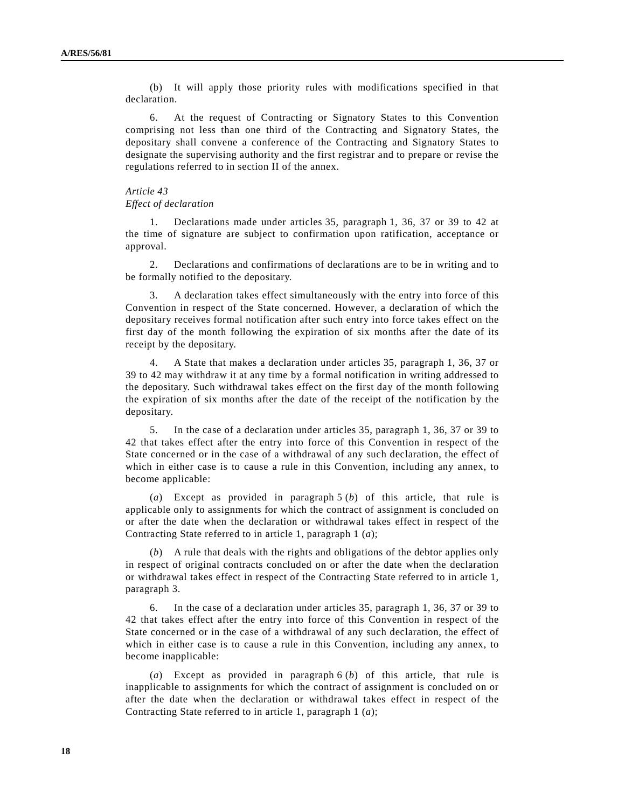(b) It will apply those priority rules with modifications specified in that declaration.

 6. At the request of Contracting or Signatory States to this Convention comprising not less than one third of the Contracting and Signatory States, the depositary shall convene a conference of the Contracting and Signatory States to designate the supervising authority and the first registrar and to prepare or revise the regulations referred to in section II of the annex.

#### *Article 43*

# *Effect of declaration*

 1. Declarations made under articles 35, paragraph 1, 36, 37 or 39 to 42 at the time of signature are subject to confirmation upon ratification, acceptance or approval.

 2. Declarations and confirmations of declarations are to be in writing and to be formally notified to the depositary.

 3. A declaration takes effect simultaneously with the entry into force of this Convention in respect of the State concerned. However, a declaration of which the depositary receives formal notification after such entry into force takes effect on the first day of the month following the expiration of six months after the date of its receipt by the depositary.

 4. A State that makes a declaration under articles 35, paragraph 1, 36, 37 or 39 to 42 may withdraw it at any time by a formal notification in writing addressed to the depositary. Such withdrawal takes effect on the first day of the month following the expiration of six months after the date of the receipt of the notification by the depositary.

 5. In the case of a declaration under articles 35, paragraph 1, 36, 37 or 39 to 42 that takes effect after the entry into force of this Convention in respect of the State concerned or in the case of a withdrawal of any such declaration, the effect of which in either case is to cause a rule in this Convention, including any annex, to become applicable:

 (*a*) Except as provided in paragraph 5 (*b*) of this article, that rule is applicable only to assignments for which the contract of assignment is concluded on or after the date when the declaration or withdrawal takes effect in respect of the Contracting State referred to in article 1, paragraph 1 (*a*);

 (*b*) A rule that deals with the rights and obligations of the debtor applies only in respect of original contracts concluded on or after the date when the declaration or withdrawal takes effect in respect of the Contracting State referred to in article 1, paragraph 3.

 6. In the case of a declaration under articles 35, paragraph 1, 36, 37 or 39 to 42 that takes effect after the entry into force of this Convention in respect of the State concerned or in the case of a withdrawal of any such declaration, the effect of which in either case is to cause a rule in this Convention, including any annex, to become inapplicable:

 (*a*) Except as provided in paragraph 6 (*b*) of this article, that rule is inapplicable to assignments for which the contract of assignment is concluded on or after the date when the declaration or withdrawal takes effect in respect of the Contracting State referred to in article 1, paragraph 1 (*a*);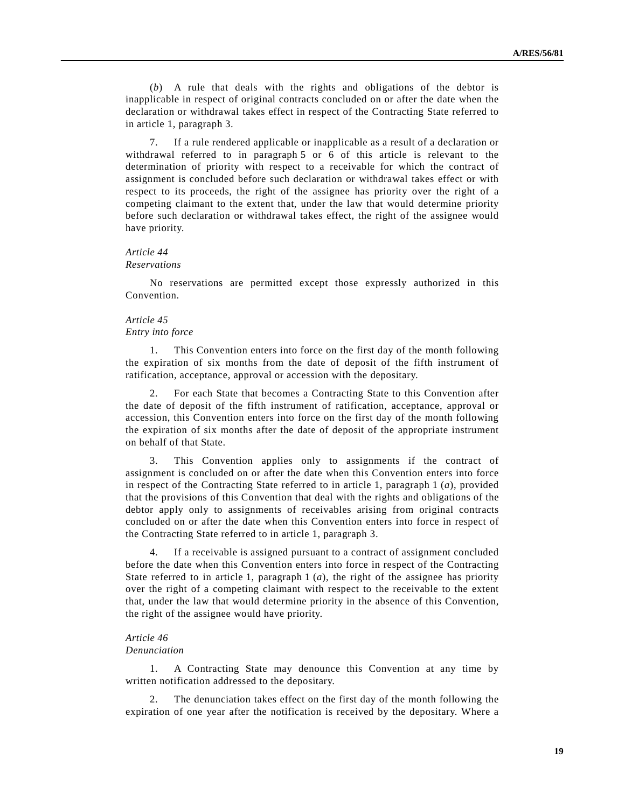(*b*) A rule that deals with the rights and obligations of the debtor is inapplicable in respect of original contracts concluded on or after the date when the declaration or withdrawal takes effect in respect of the Contracting State referred to in article 1, paragraph 3.

 7. If a rule rendered applicable or inapplicable as a result of a declaration or withdrawal referred to in paragraph 5 or 6 of this article is relevant to the determination of priority with respect to a receivable for which the contract of assignment is concluded before such declaration or withdrawal takes effect or with respect to its proceeds, the right of the assignee has priority over the right of a competing claimant to the extent that, under the law that would determine priority before such declaration or withdrawal takes effect, the right of the assignee would have priority.

#### *Article 44 Reservations*

 No reservations are permitted except those expressly authorized in this Convention.

# *Article 45 Entry into force*

 1. This Convention enters into force on the first day of the month following the expiration of six months from the date of deposit of the fifth instrument of ratification, acceptance, approval or accession with the depositary.

 2. For each State that becomes a Contracting State to this Convention after the date of deposit of the fifth instrument of ratification, acceptance, approval or accession, this Convention enters into force on the first day of the month following the expiration of six months after the date of deposit of the appropriate instrument on behalf of that State.

 3. This Convention applies only to assignments if the contract of assignment is concluded on or after the date when this Convention enters into force in respect of the Contracting State referred to in article 1, paragraph 1 (*a*), provided that the provisions of this Convention that deal with the rights and obligations of the debtor apply only to assignments of receivables arising from original contracts concluded on or after the date when this Convention enters into force in respect of the Contracting State referred to in article 1, paragraph 3.

If a receivable is assigned pursuant to a contract of assignment concluded before the date when this Convention enters into force in respect of the Contracting State referred to in article 1, paragraph 1 (*a*), the right of the assignee has priority over the right of a competing claimant with respect to the receivable to the extent that, under the law that would determine priority in the absence of this Convention, the right of the assignee would have priority.

## *Article 46*

# *Denunciation*

 1. A Contracting State may denounce this Convention at any time by written notification addressed to the depositary.

 2. The denunciation takes effect on the first day of the month following the expiration of one year after the notification is received by the depositary. Where a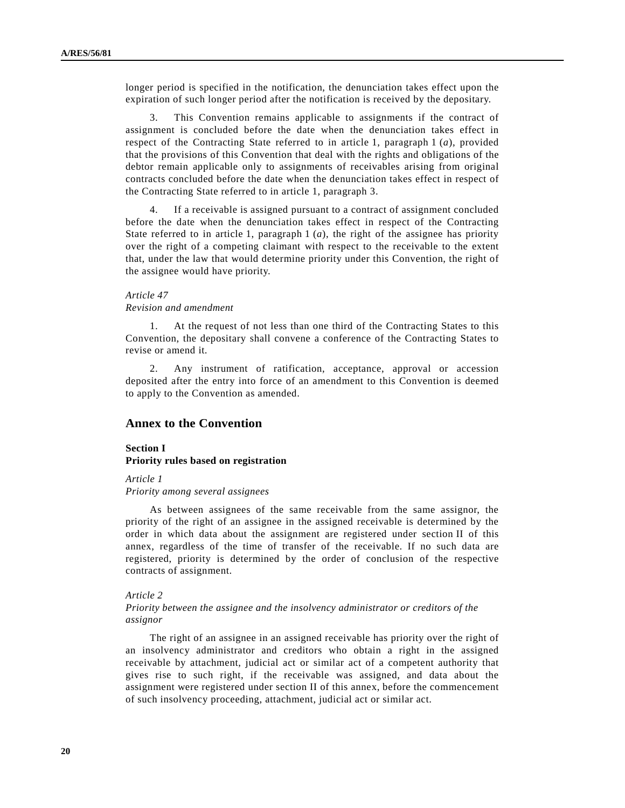longer period is specified in the notification, the denunciation takes effect upon the expiration of such longer period after the notification is received by the depositary.

 3. This Convention remains applicable to assignments if the contract of assignment is concluded before the date when the denunciation takes effect in respect of the Contracting State referred to in article 1, paragraph 1 (*a*), provided that the provisions of this Convention that deal with the rights and obligations of the debtor remain applicable only to assignments of receivables arising from original contracts concluded before the date when the denunciation takes effect in respect of the Contracting State referred to in article 1, paragraph 3.

If a receivable is assigned pursuant to a contract of assignment concluded before the date when the denunciation takes effect in respect of the Contracting State referred to in article 1, paragraph 1 (*a*), the right of the assignee has priority over the right of a competing claimant with respect to the receivable to the extent that, under the law that would determine priority under this Convention, the right of the assignee would have priority.

# *Article 47*

#### *Revision and amendment*

 1. At the request of not less than one third of the Contracting States to this Convention, the depositary shall convene a conference of the Contracting States to revise or amend it.

 2. Any instrument of ratification, acceptance, approval or accession deposited after the entry into force of an amendment to this Convention is deemed to apply to the Convention as amended.

# **Annex to the Convention**

# **Section I Priority rules based on registration**

#### *Article 1*

#### *Priority among several assignees*

 As between assignees of the same receivable from the same assignor, the priority of the right of an assignee in the assigned receivable is determined by the order in which data about the assignment are registered under section II of this annex, regardless of the time of transfer of the receivable. If no such data are registered, priority is determined by the order of conclusion of the respective contracts of assignment.

## *Article 2*

## *Priority between the assignee and the insolvency administrator or creditors of the assignor*

 The right of an assignee in an assigned receivable has priority over the right of an insolvency administrator and creditors who obtain a right in the assigned receivable by attachment, judicial act or similar act of a competent authority that gives rise to such right, if the receivable was assigned, and data about the assignment were registered under section II of this annex, before the commencement of such insolvency proceeding, attachment, judicial act or similar act.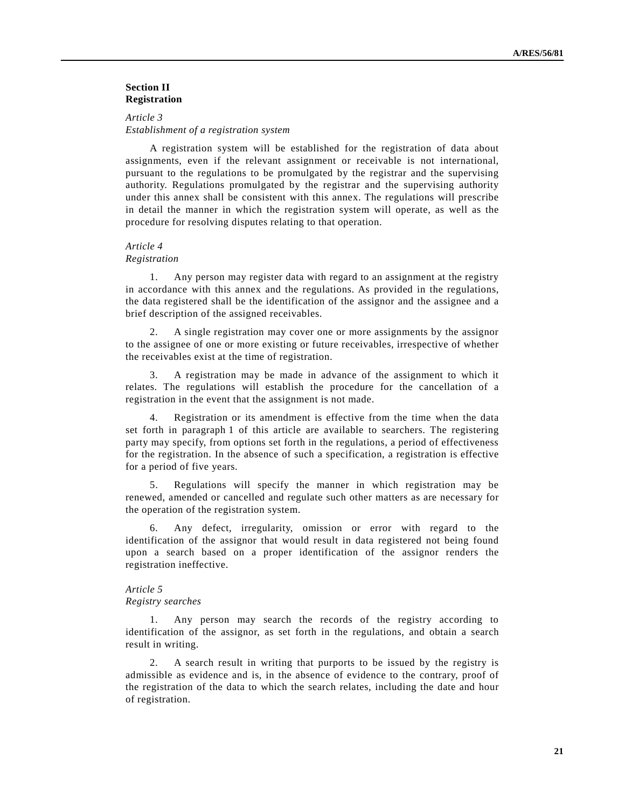## **Section II Registration**

## *Article 3 Establishment of a registration system*

 A registration system will be established for the registration of data about assignments, even if the relevant assignment or receivable is not international, pursuant to the regulations to be promulgated by the registrar and the supervising authority. Regulations promulgated by the registrar and the supervising authority under this annex shall be consistent with this annex. The regulations will prescribe in detail the manner in which the registration system will operate, as well as the procedure for resolving disputes relating to that operation.

# *Article 4*

## *Registration*

 1. Any person may register data with regard to an assignment at the registry in accordance with this annex and the regulations. As provided in the regulations, the data registered shall be the identification of the assignor and the assignee and a brief description of the assigned receivables.

 2. A single registration may cover one or more assignments by the assignor to the assignee of one or more existing or future receivables, irrespective of whether the receivables exist at the time of registration.

 3. A registration may be made in advance of the assignment to which it relates. The regulations will establish the procedure for the cancellation of a registration in the event that the assignment is not made.

 4. Registration or its amendment is effective from the time when the data set forth in paragraph 1 of this article are available to searchers. The registering party may specify, from options set forth in the regulations, a period of effectiveness for the registration. In the absence of such a specification, a registration is effective for a period of five years.

 5. Regulations will specify the manner in which registration may be renewed, amended or cancelled and regulate such other matters as are necessary for the operation of the registration system.

 6. Any defect, irregularity, omission or error with regard to the identification of the assignor that would result in data registered not being found upon a search based on a proper identification of the assignor renders the registration ineffective.

# *Article 5*

# *Registry searches*

 1. Any person may search the records of the registry according to identification of the assignor, as set forth in the regulations, and obtain a search result in writing.

 2. A search result in writing that purports to be issued by the registry is admissible as evidence and is, in the absence of evidence to the contrary, proof of the registration of the data to which the search relates, including the date and hour of registration.